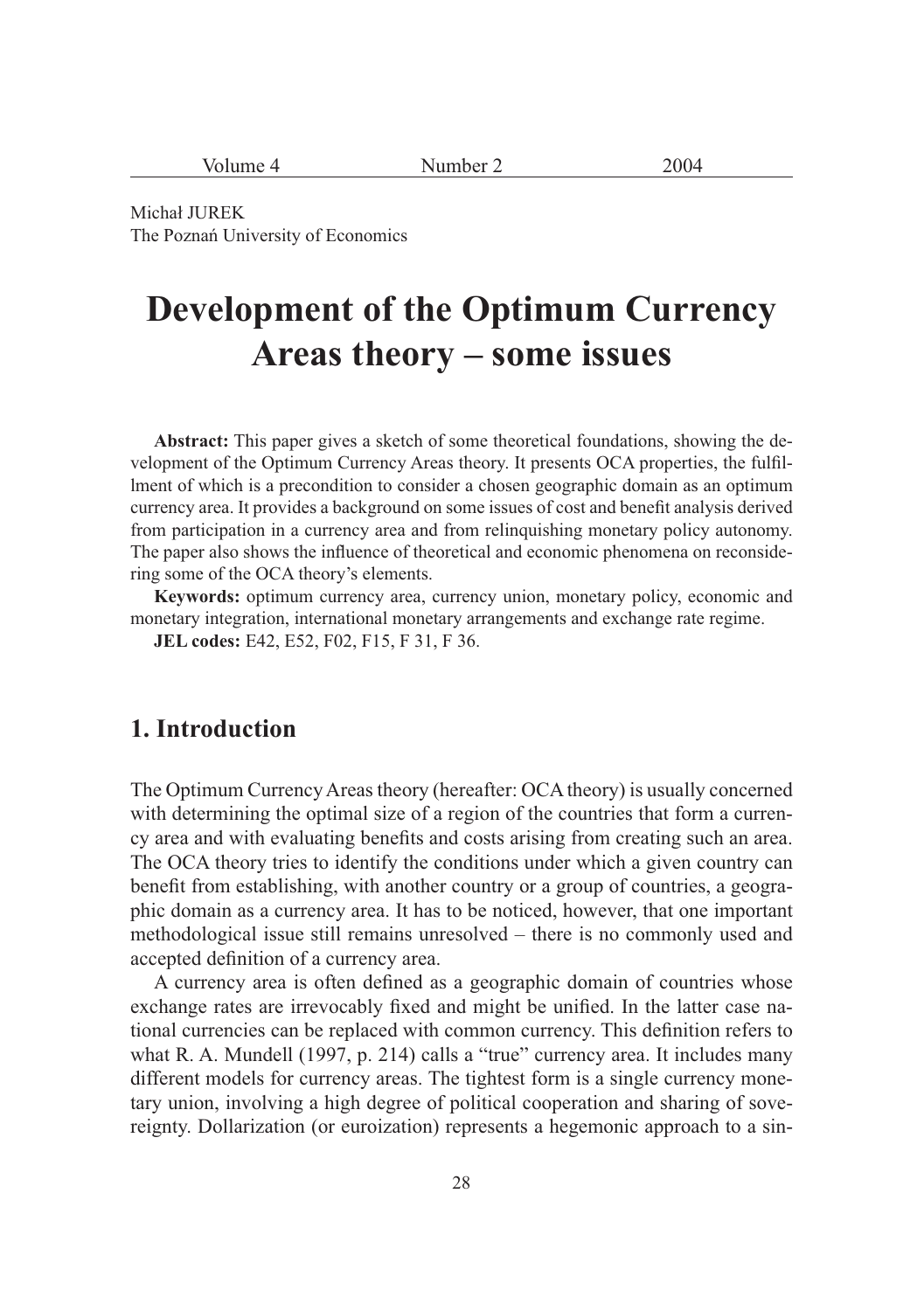| umber 2<br>11 IZ<br>vour<br>ີ |
|-------------------------------|
|-------------------------------|

Michał JUREK The Poznań University of Economics

# **Development of the Optimum Currency Areas theory – some issues**

**Abstract:** This paper gives a sketch of some theoretical foundations, showing the development of the Optimum Currency Areas theory. It presents OCA properties, the fulfillment of which is a precondition to consider a chosen geographic domain as an optimum currency area. It provides a background on some issues of cost and benefit analysis derived from participation in a currency area and from relinquishing monetary policy autonomy. The paper also shows the influence of theoretical and economic phenomena on reconsidering some of the OCA theory's elements.

**Keywords:** optimum currency area, currency union, monetary policy, economic and monetary integration, international monetary arrangements and exchange rate regime.

**JEL codes:** E42, E52, F02, F15, F 31, F 36.

## **1. Introduction**

The Optimum Currency Areas theory (hereafter: OCA theory) is usually concerned with determining the optimal size of a region of the countries that form a currency area and with evaluating benefits and costs arising from creating such an area. The OCA theory tries to identify the conditions under which a given country can benefit from establishing, with another country or a group of countries, a geographic domain as a currency area. It has to be noticed, however, that one important methodological issue still remains unresolved – there is no commonly used and accepted definition of a currency area.

A currency area is often defined as a geographic domain of countries whose exchange rates are irrevocably fixed and might be unified. In the latter case national currencies can be replaced with common currency. This definition refers to what R. A. Mundell (1997, p. 214) calls a "true" currency area. It includes many different models for currency areas. The tightest form is a single currency monetary union, involving a high degree of political cooperation and sharing of sovereignty. Dollarization (or euroization) represents a hegemonic approach to a sin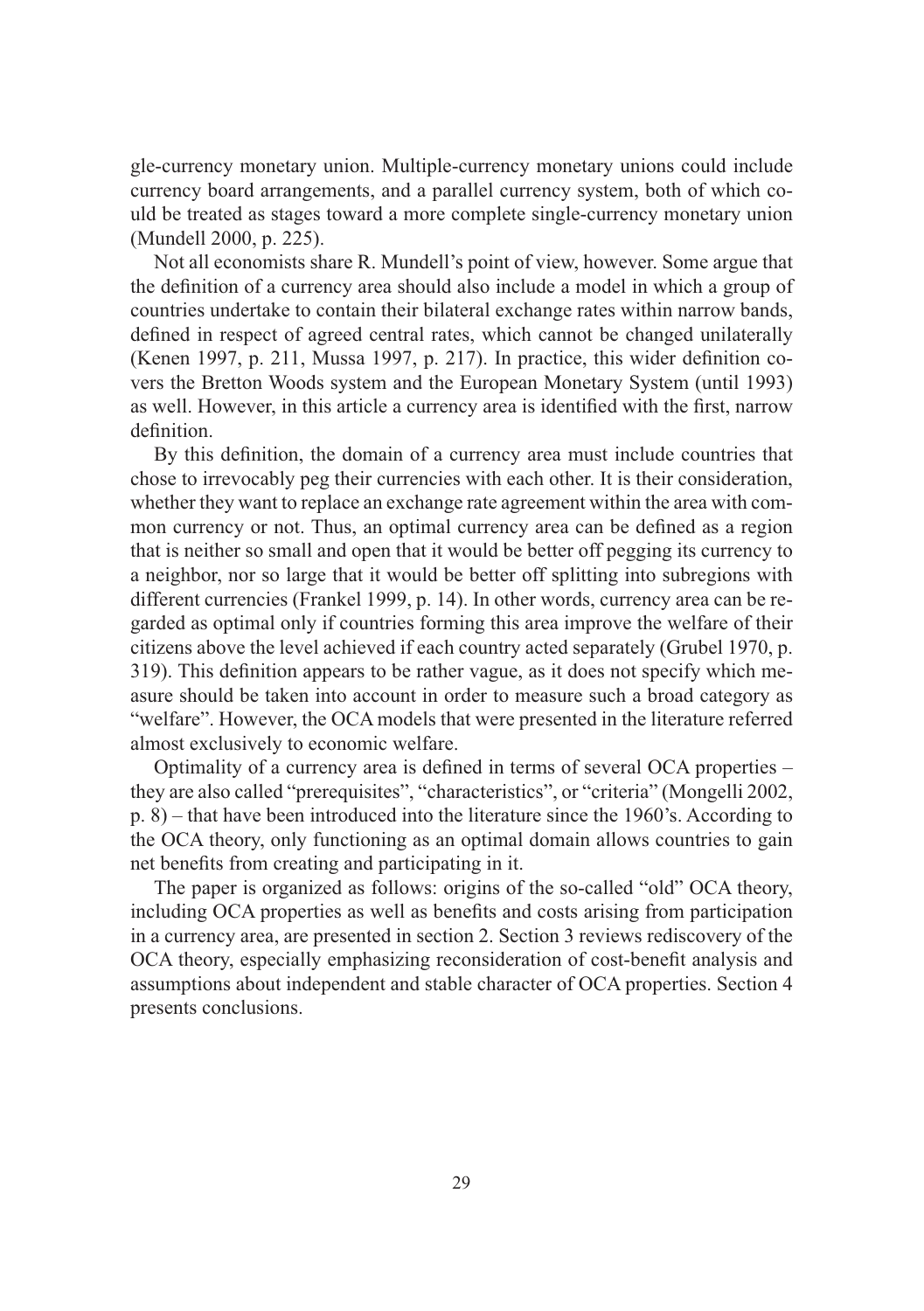gle-currency monetary union. Multiple-currency monetary unions could include currency board arrangements, and a parallel currency system, both of which could be treated as stages toward a more complete single-currency monetary union (Mundell 2000, p. 225).

Not all economists share R. Mundell's point of view, however. Some argue that the definition of a currency area should also include a model in which a group of countries undertake to contain their bilateral exchange rates within narrow bands, defined in respect of agreed central rates, which cannot be changed unilaterally (Kenen 1997, p. 211, Mussa 1997, p. 217). In practice, this wider definition covers the Bretton Woods system and the European Monetary System (until 1993) as well. However, in this article a currency area is identified with the first, narrow definition.

By this definition, the domain of a currency area must include countries that chose to irrevocably peg their currencies with each other. It is their consideration, whether they want to replace an exchange rate agreement within the area with common currency or not. Thus, an optimal currency area can be defined as a region that is neither so small and open that it would be better off pegging its currency to a neighbor, nor so large that it would be better off splitting into subregions with different currencies (Frankel 1999, p. 14). In other words, currency area can be regarded as optimal only if countries forming this area improve the welfare of their citizens above the level achieved if each country acted separately (Grubel 1970, p. 319). This definition appears to be rather vague, as it does not specify which measure should be taken into account in order to measure such a broad category as "welfare". However, the OCA models that were presented in the literature referred almost exclusively to economic welfare.

Optimality of a currency area is defined in terms of several OCA properties – they are also called "prerequisites", "characteristics", or "criteria" (Mongelli 2002, p. 8) – that have been introduced into the literature since the 1960's. According to the OCA theory, only functioning as an optimal domain allows countries to gain net benefits from creating and participating in it.

The paper is organized as follows: origins of the so-called "old" OCA theory, including OCA properties as well as benefits and costs arising from participation in a currency area, are presented in section 2. Section 3 reviews rediscovery of the OCA theory, especially emphasizing reconsideration of cost-benefit analysis and assumptions about independent and stable character of OCA properties. Section 4 presents conclusions.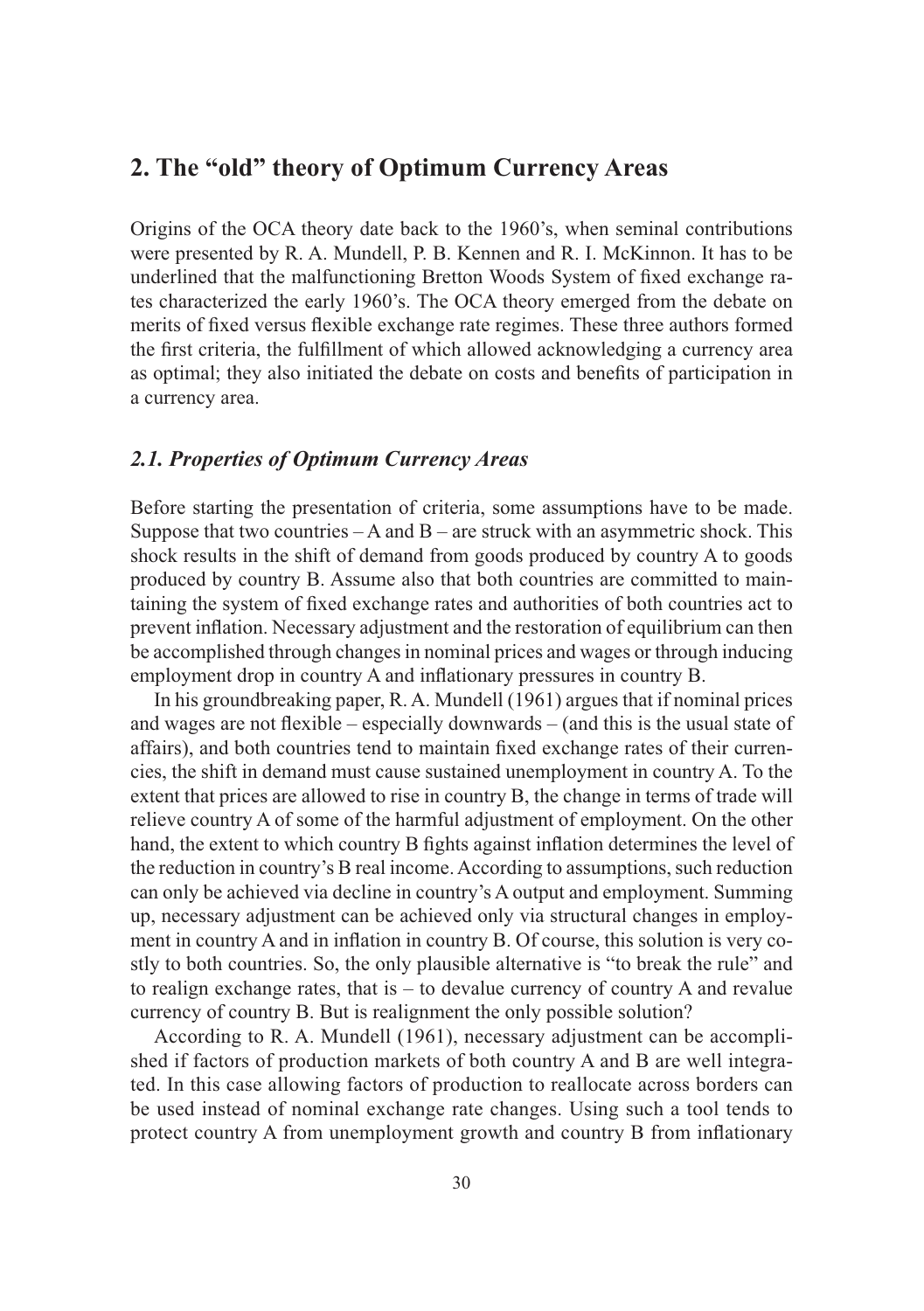# **2. The "old" theory of Optimum Currency Areas**

Origins of the OCA theory date back to the 1960's, when seminal contributions were presented by R. A. Mundell, P. B. Kennen and R. I. McKinnon. It has to be underlined that the malfunctioning Bretton Woods System of fixed exchange rates characterized the early 1960's. The OCA theory emerged from the debate on merits of fixed versus flexible exchange rate regimes. These three authors formed the first criteria, the fulfillment of which allowed acknowledging a currency area as optimal; they also initiated the debate on costs and benefits of participation in a currency area.

### *2.1. Properties of Optimum Currency Areas*

Before starting the presentation of criteria, some assumptions have to be made. Suppose that two countries  $-A$  and  $B$  – are struck with an asymmetric shock. This shock results in the shift of demand from goods produced by country A to goods produced by country B. Assume also that both countries are committed to maintaining the system of fixed exchange rates and authorities of both countries act to prevent inflation. Necessary adjustment and the restoration of equilibrium can then be accomplished through changes in nominal prices and wages or through inducing employment drop in country A and inflationary pressures in country B.

In his groundbreaking paper, R. A. Mundell (1961) argues that if nominal prices and wages are not flexible – especially downwards – (and this is the usual state of affairs), and both countries tend to maintain fixed exchange rates of their currencies, the shift in demand must cause sustained unemployment in country A. To the extent that prices are allowed to rise in country B, the change in terms of trade will relieve country A of some of the harmful adjustment of employment. On the other hand, the extent to which country B fights against inflation determines the level of the reduction in country's B real income. According to assumptions, such reduction can only be achieved via decline in country's A output and employment. Summing up, necessary adjustment can be achieved only via structural changes in employment in country A and in inflation in country B. Of course, this solution is very costly to both countries. So, the only plausible alternative is "to break the rule" and to realign exchange rates, that is  $-$  to devalue currency of country A and revalue currency of country B. But is realignment the only possible solution?

According to R. A. Mundell (1961), necessary adjustment can be accomplished if factors of production markets of both country A and B are well integrated. In this case allowing factors of production to reallocate across borders can be used instead of nominal exchange rate changes. Using such a tool tends to protect country A from unemployment growth and country B from inflationary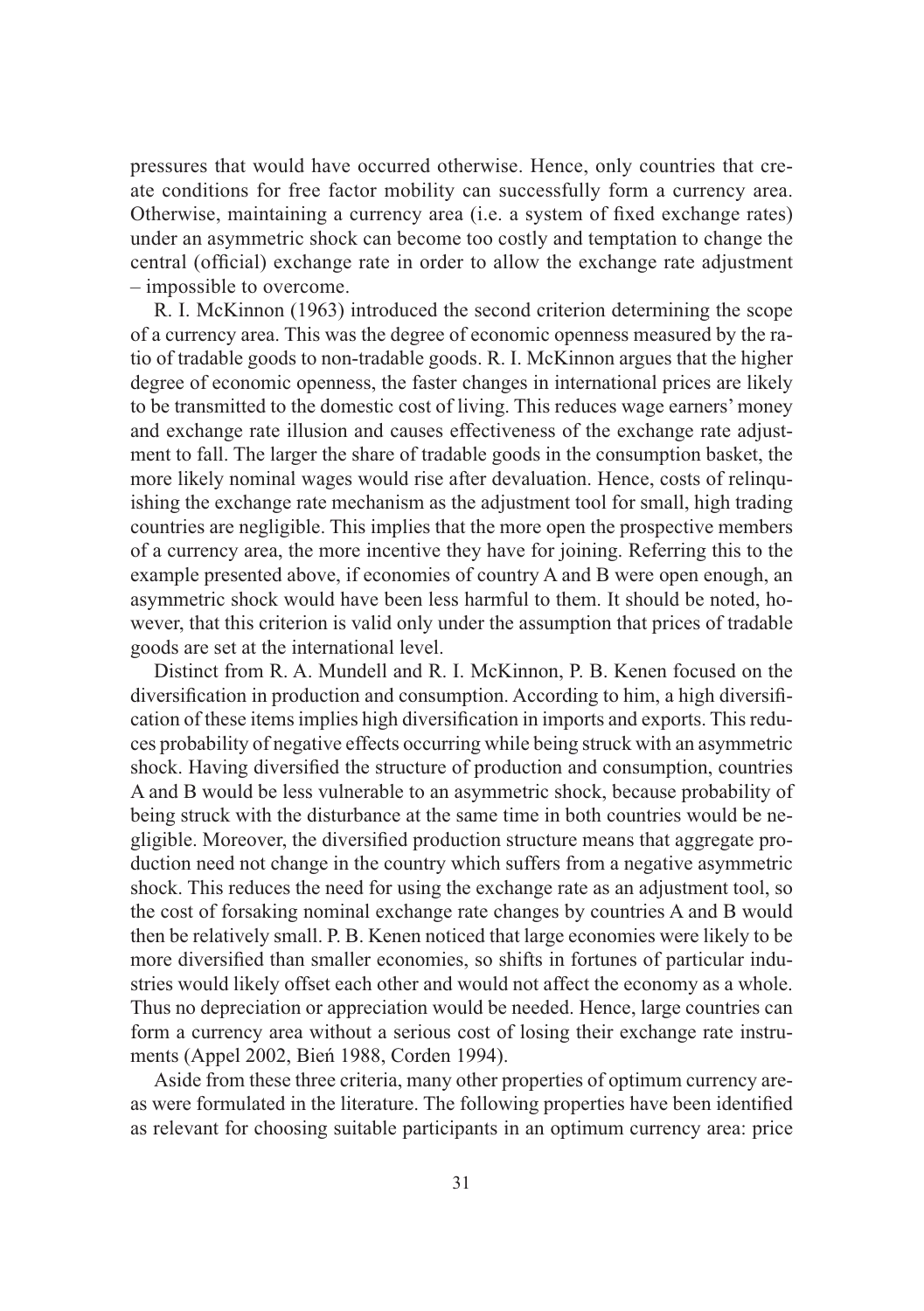pressures that would have occurred otherwise. Hence, only countries that create conditions for free factor mobility can successfully form a currency area. Otherwise, maintaining a currency area (i.e. a system of fixed exchange rates) under an asymmetric shock can become too costly and temptation to change the central (official) exchange rate in order to allow the exchange rate adjustment – impossible to overcome.

R. I. McKinnon (1963) introduced the second criterion determining the scope of a currency area. This was the degree of economic openness measured by the ratio of tradable goods to non-tradable goods. R. I. McKinnon argues that the higher degree of economic openness, the faster changes in international prices are likely to be transmitted to the domestic cost of living. This reduces wage earners' money and exchange rate illusion and causes effectiveness of the exchange rate adjustment to fall. The larger the share of tradable goods in the consumption basket, the more likely nominal wages would rise after devaluation. Hence, costs of relinquishing the exchange rate mechanism as the adjustment tool for small, high trading countries are negligible. This implies that the more open the prospective members of a currency area, the more incentive they have for joining. Referring this to the example presented above, if economies of country A and B were open enough, an asymmetric shock would have been less harmful to them. It should be noted, however, that this criterion is valid only under the assumption that prices of tradable goods are set at the international level.

Distinct from R. A. Mundell and R. I. McKinnon, P. B. Kenen focused on the diversification in production and consumption. According to him, a high diversification of these items implies high diversification in imports and exports. This reduces probability of negative effects occurring while being struck with an asymmetric shock. Having diversified the structure of production and consumption, countries A and B would be less vulnerable to an asymmetric shock, because probability of being struck with the disturbance at the same time in both countries would be negligible. Moreover, the diversified production structure means that aggregate production need not change in the country which suffers from a negative asymmetric shock. This reduces the need for using the exchange rate as an adjustment tool, so the cost of forsaking nominal exchange rate changes by countries A and B would then be relatively small. P. B. Kenen noticed that large economies were likely to be more diversified than smaller economies, so shifts in fortunes of particular industries would likely offset each other and would not affect the economy as a whole. Thus no depreciation or appreciation would be needed. Hence, large countries can form a currency area without a serious cost of losing their exchange rate instruments (Appel 2002, Bień 1988, Corden 1994).

Aside from these three criteria, many other properties of optimum currency areas were formulated in the literature. The following properties have been identified as relevant for choosing suitable participants in an optimum currency area: price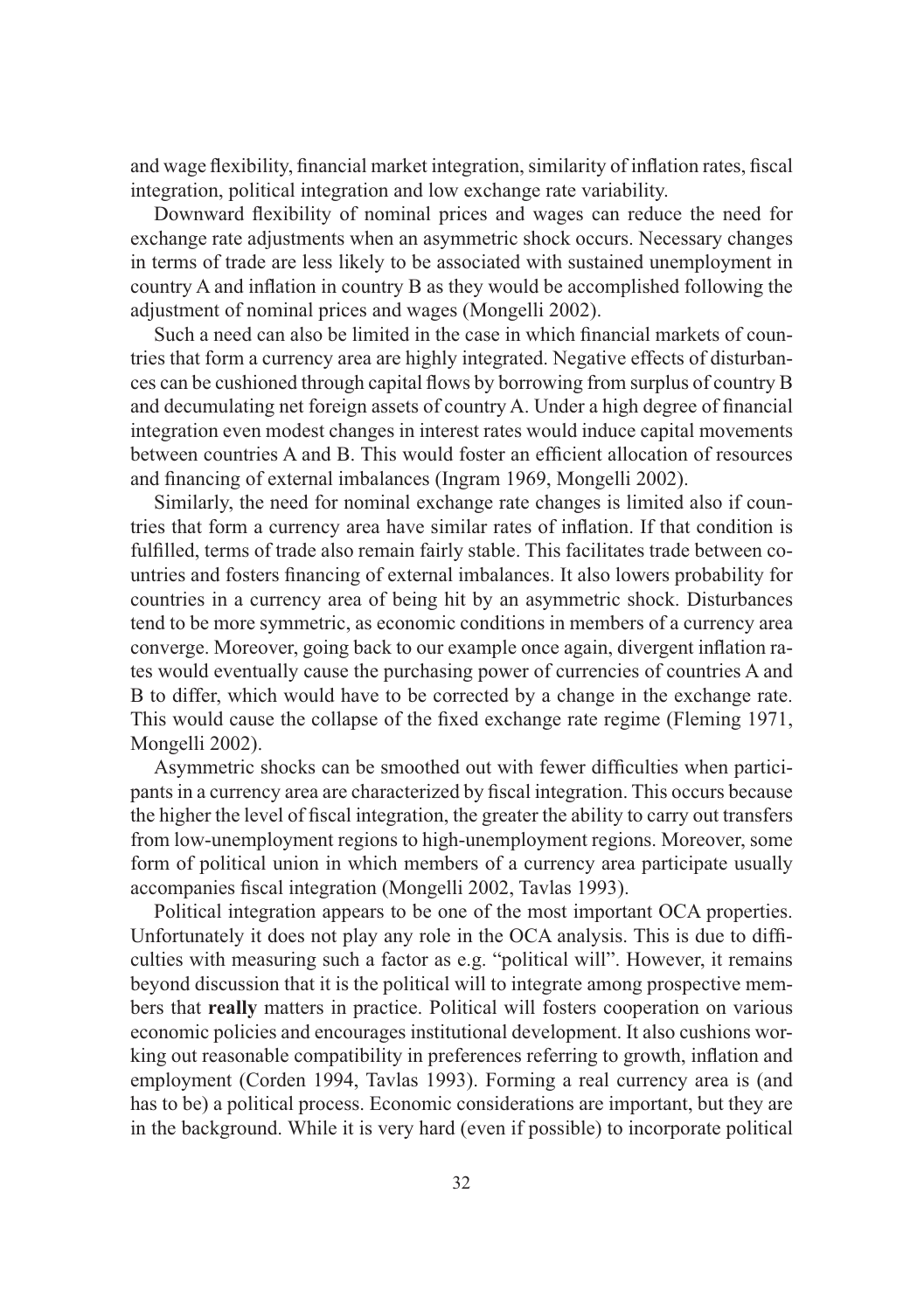and wage flexibility, financial market integration, similarity of inflation rates, fiscal integration, political integration and low exchange rate variability.

Downward flexibility of nominal prices and wages can reduce the need for exchange rate adjustments when an asymmetric shock occurs. Necessary changes in terms of trade are less likely to be associated with sustained unemployment in country A and inflation in country B as they would be accomplished following the adjustment of nominal prices and wages (Mongelli 2002).

Such a need can also be limited in the case in which financial markets of countries that form a currency area are highly integrated. Negative effects of disturbances can be cushioned through capital flows by borrowing from surplus of country B and decumulating net foreign assets of country A. Under a high degree of financial integration even modest changes in interest rates would induce capital movements between countries A and B. This would foster an efficient allocation of resources and financing of external imbalances (Ingram 1969, Mongelli 2002).

Similarly, the need for nominal exchange rate changes is limited also if countries that form a currency area have similar rates of inflation. If that condition is fulfilled, terms of trade also remain fairly stable. This facilitates trade between countries and fosters financing of external imbalances. It also lowers probability for countries in a currency area of being hit by an asymmetric shock. Disturbances tend to be more symmetric, as economic conditions in members of a currency area converge. Moreover, going back to our example once again, divergent inflation rates would eventually cause the purchasing power of currencies of countries A and B to differ, which would have to be corrected by a change in the exchange rate. This would cause the collapse of the fixed exchange rate regime (Fleming 1971, Mongelli 2002).

Asymmetric shocks can be smoothed out with fewer difficulties when participants in a currency area are characterized by fiscal integration. This occurs because the higher the level of fiscal integration, the greater the ability to carry out transfers from low-unemployment regions to high-unemployment regions. Moreover, some form of political union in which members of a currency area participate usually accompanies fiscal integration (Mongelli 2002, Tavlas 1993).

Political integration appears to be one of the most important OCA properties. Unfortunately it does not play any role in the OCA analysis. This is due to difficulties with measuring such a factor as e.g. "political will". However, it remains beyond discussion that it is the political will to integrate among prospective members that **really** matters in practice. Political will fosters cooperation on various economic policies and encourages institutional development. It also cushions working out reasonable compatibility in preferences referring to growth, inflation and employment (Corden 1994, Tavlas 1993). Forming a real currency area is (and has to be) a political process. Economic considerations are important, but they are in the background. While it is very hard (even if possible) to incorporate political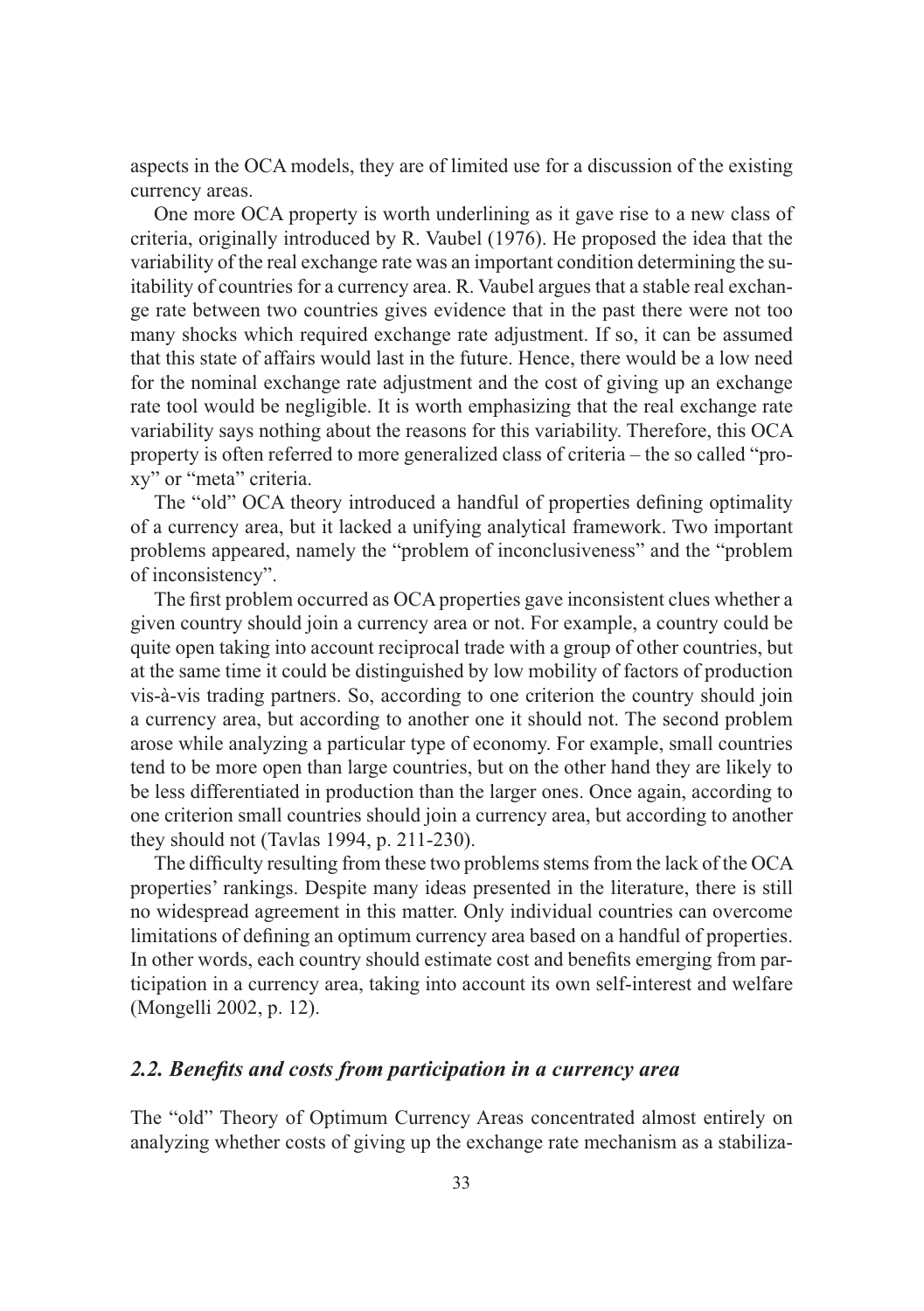aspects in the OCA models, they are of limited use for a discussion of the existing currency areas.

One more OCA property is worth underlining as it gave rise to a new class of criteria, originally introduced by R. Vaubel (1976). He proposed the idea that the variability of the real exchange rate was an important condition determining the suitability of countries for a currency area. R. Vaubel argues that a stable real exchange rate between two countries gives evidence that in the past there were not too many shocks which required exchange rate adjustment. If so, it can be assumed that this state of affairs would last in the future. Hence, there would be a low need for the nominal exchange rate adjustment and the cost of giving up an exchange rate tool would be negligible. It is worth emphasizing that the real exchange rate variability says nothing about the reasons for this variability. Therefore, this OCA property is often referred to more generalized class of criteria – the so called "proxy" or "meta" criteria.

The "old" OCA theory introduced a handful of properties defining optimality of a currency area, but it lacked a unifying analytical framework. Two important problems appeared, namely the "problem of inconclusiveness" and the "problem of inconsistency".

The first problem occurred as OCA properties gave inconsistent clues whether a given country should join a currency area or not. For example, a country could be quite open taking into account reciprocal trade with a group of other countries, but at the same time it could be distinguished by low mobility of factors of production vis-à-vis trading partners. So, according to one criterion the country should join a currency area, but according to another one it should not. The second problem arose while analyzing a particular type of economy. For example, small countries tend to be more open than large countries, but on the other hand they are likely to be less differentiated in production than the larger ones. Once again, according to one criterion small countries should join a currency area, but according to another they should not (Tavlas 1994, p. 211-230).

The difficulty resulting from these two problems stems from the lack of the OCA properties' rankings. Despite many ideas presented in the literature, there is still no widespread agreement in this matter. Only individual countries can overcome limitations of defining an optimum currency area based on a handful of properties. In other words, each country should estimate cost and benefits emerging from participation in a currency area, taking into account its own self-interest and welfare (Mongelli 2002, p. 12).

#### *2.2. Benefits and costs from participation in a currency area*

The "old" Theory of Optimum Currency Areas concentrated almost entirely on analyzing whether costs of giving up the exchange rate mechanism as a stabiliza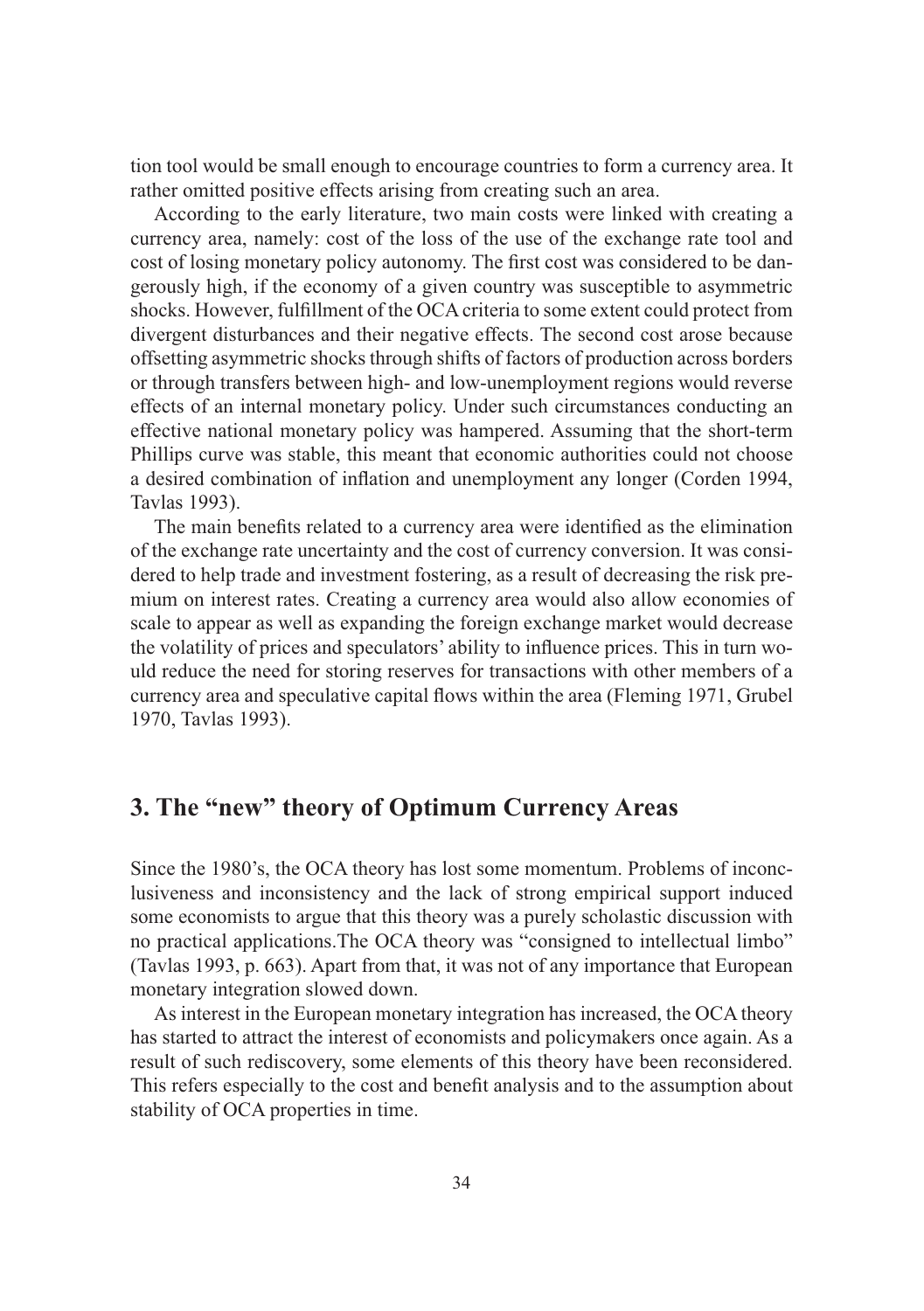tion tool would be small enough to encourage countries to form a currency area. It rather omitted positive effects arising from creating such an area.

According to the early literature, two main costs were linked with creating a currency area, namely: cost of the loss of the use of the exchange rate tool and cost of losing monetary policy autonomy. The first cost was considered to be dangerously high, if the economy of a given country was susceptible to asymmetric shocks. However, fulfillment of the OCA criteria to some extent could protect from divergent disturbances and their negative effects. The second cost arose because offsetting asymmetric shocks through shifts of factors of production across borders or through transfers between high- and low-unemployment regions would reverse effects of an internal monetary policy. Under such circumstances conducting an effective national monetary policy was hampered. Assuming that the short-term Phillips curve was stable, this meant that economic authorities could not choose a desired combination of inflation and unemployment any longer (Corden 1994, Tavlas 1993).

The main benefits related to a currency area were identified as the elimination of the exchange rate uncertainty and the cost of currency conversion. It was considered to help trade and investment fostering, as a result of decreasing the risk premium on interest rates. Creating a currency area would also allow economies of scale to appear as well as expanding the foreign exchange market would decrease the volatility of prices and speculators' ability to influence prices. This in turn would reduce the need for storing reserves for transactions with other members of a currency area and speculative capital flows within the area (Fleming 1971, Grubel 1970, Tavlas 1993).

# **3. The "new" theory of Optimum Currency Areas**

Since the 1980's, the OCA theory has lost some momentum. Problems of inconclusiveness and inconsistency and the lack of strong empirical support induced some economists to argue that this theory was a purely scholastic discussion with no practical applications.The OCA theory was "consigned to intellectual limbo" (Tavlas 1993, p. 663). Apart from that, it was not of any importance that European monetary integration slowed down.

As interest in the European monetary integration has increased, the OCA theory has started to attract the interest of economists and policymakers once again. As a result of such rediscovery, some elements of this theory have been reconsidered. This refers especially to the cost and benefit analysis and to the assumption about stability of OCA properties in time.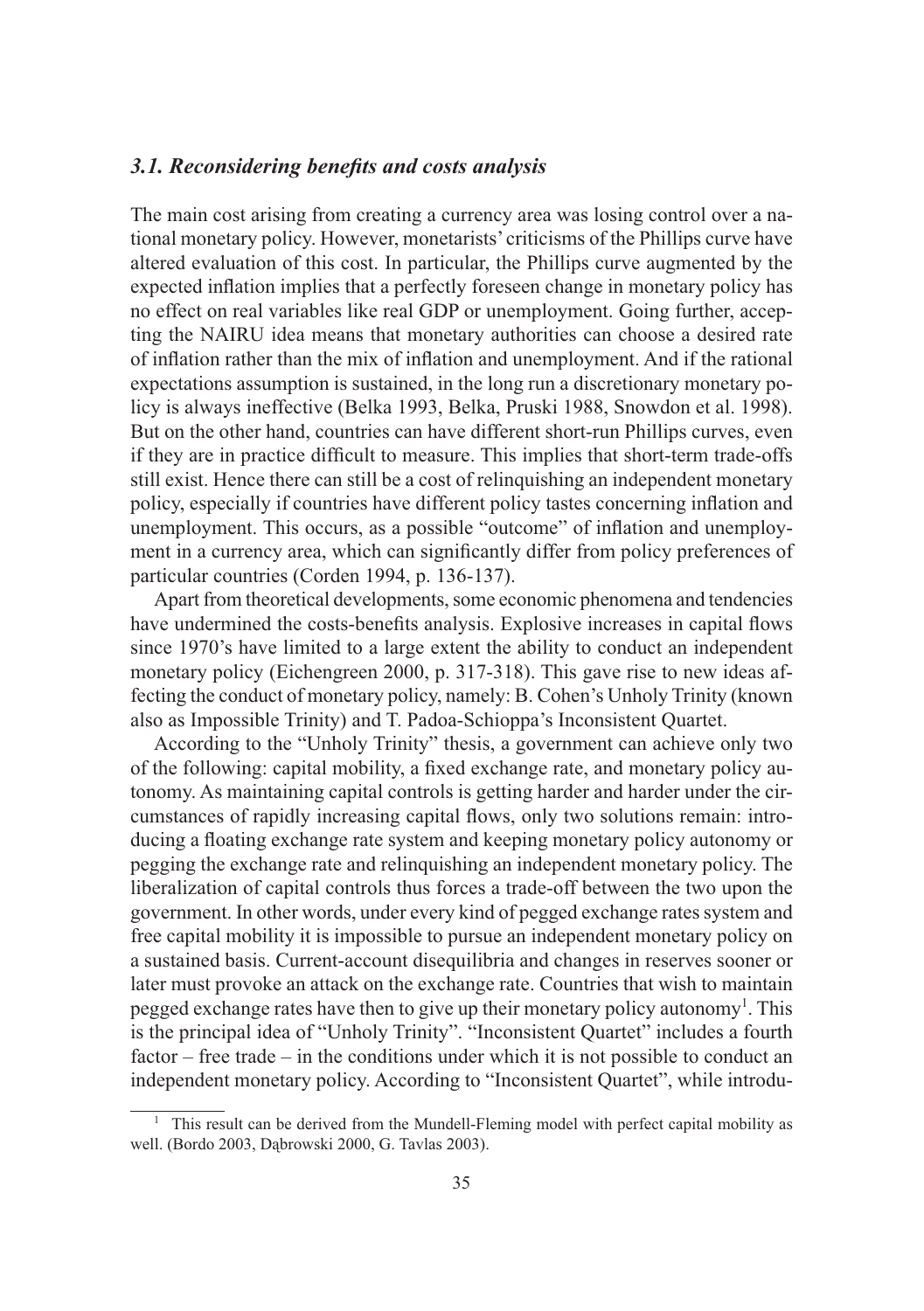#### *3.1. Reconsidering benefits and costs analysis*

The main cost arising from creating a currency area was losing control over a national monetary policy. However, monetarists' criticisms of the Phillips curve have altered evaluation of this cost. In particular, the Phillips curve augmented by the expected inflation implies that a perfectly foreseen change in monetary policy has no effect on real variables like real GDP or unemployment. Going further, accepting the NAIRU idea means that monetary authorities can choose a desired rate of inflation rather than the mix of inflation and unemployment. And if the rational expectations assumption is sustained, in the long run a discretionary monetary policy is always ineffective (Belka 1993, Belka, Pruski 1988, Snowdon et al. 1998). But on the other hand, countries can have different short-run Phillips curves, even if they are in practice difficult to measure. This implies that short-term trade-offs still exist. Hence there can still be a cost of relinquishing an independent monetary policy, especially if countries have different policy tastes concerning inflation and unemployment. This occurs, as a possible "outcome" of inflation and unemployment in a currency area, which can significantly differ from policy preferences of particular countries (Corden 1994, p. 136-137).

Apart from theoretical developments, some economic phenomena and tendencies have undermined the costs-benefits analysis. Explosive increases in capital flows since 1970's have limited to a large extent the ability to conduct an independent monetary policy (Eichengreen 2000, p. 317-318). This gave rise to new ideas affecting the conduct of monetary policy, namely: B. Cohen's Unholy Trinity (known also as Impossible Trinity) and T. Padoa-Schioppa's Inconsistent Quartet.

According to the "Unholy Trinity" thesis, a government can achieve only two of the following: capital mobility, a fixed exchange rate, and monetary policy autonomy. As maintaining capital controls is getting harder and harder under the circumstances of rapidly increasing capital flows, only two solutions remain: introducing a floating exchange rate system and keeping monetary policy autonomy or pegging the exchange rate and relinquishing an independent monetary policy. The liberalization of capital controls thus forces a trade-off between the two upon the government. In other words, under every kind of pegged exchange rates system and free capital mobility it is impossible to pursue an independent monetary policy on a sustained basis. Current-account disequilibria and changes in reserves sooner or later must provoke an attack on the exchange rate. Countries that wish to maintain pegged exchange rates have then to give up their monetary policy autonomy<sup>1</sup>. This is the principal idea of "Unholy Trinity". "Inconsistent Quartet" includes a fourth factor – free trade – in the conditions under which it is not possible to conduct an independent monetary policy. According to "Inconsistent Quartet", while introdu-

<sup>&</sup>lt;sup>1</sup> This result can be derived from the Mundell-Fleming model with perfect capital mobility as well. (Bordo 2003, Dąbrowski 2000, G. Tavlas 2003).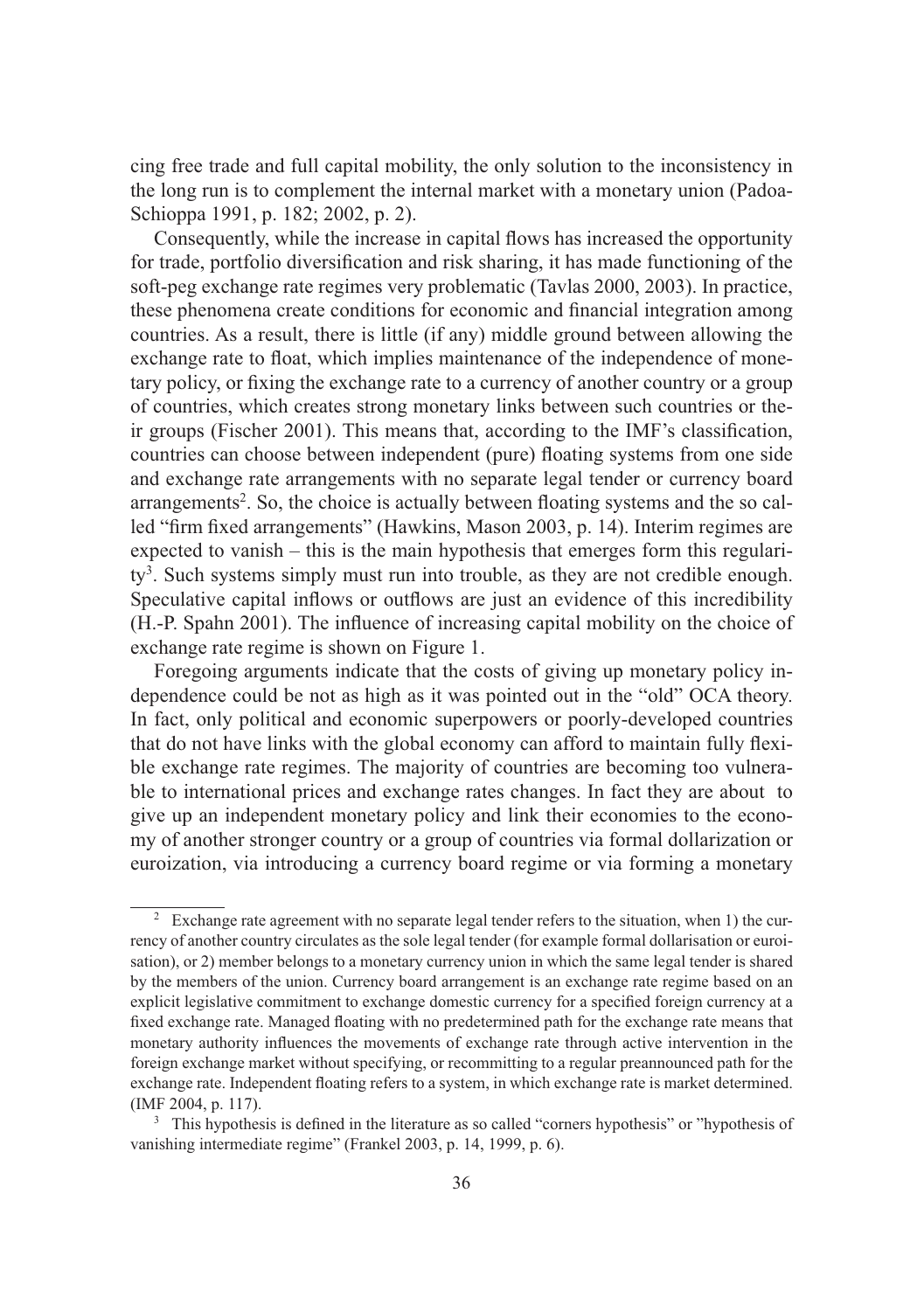cing free trade and full capital mobility, the only solution to the inconsistency in the long run is to complement the internal market with a monetary union (Padoa-Schioppa 1991, p. 182; 2002, p. 2).

Consequently, while the increase in capital flows has increased the opportunity for trade, portfolio diversification and risk sharing, it has made functioning of the soft-peg exchange rate regimes very problematic (Tavlas 2000, 2003). In practice, these phenomena create conditions for economic and financial integration among countries. As a result, there is little (if any) middle ground between allowing the exchange rate to float, which implies maintenance of the independence of monetary policy, or fixing the exchange rate to a currency of another country or a group of countries, which creates strong monetary links between such countries or their groups (Fischer 2001). This means that, according to the IMF's classification, countries can choose between independent (pure) floating systems from one side and exchange rate arrangements with no separate legal tender or currency board arrangements<sup>2</sup>. So, the choice is actually between floating systems and the so called "firm fixed arrangements" (Hawkins, Mason 2003, p. 14). Interim regimes are expected to vanish – this is the main hypothesis that emerges form this regularity<sup>3</sup>. Such systems simply must run into trouble, as they are not credible enough. Speculative capital inflows or outflows are just an evidence of this incredibility (H.-P. Spahn 2001). The influence of increasing capital mobility on the choice of exchange rate regime is shown on Figure 1.

Foregoing arguments indicate that the costs of giving up monetary policy independence could be not as high as it was pointed out in the "old" OCA theory. In fact, only political and economic superpowers or poorly-developed countries that do not have links with the global economy can afford to maintain fully flexible exchange rate regimes. The majority of countries are becoming too vulnerable to international prices and exchange rates changes. In fact they are about to give up an independent monetary policy and link their economies to the economy of another stronger country or a group of countries via formal dollarization or euroization, via introducing a currency board regime or via forming a monetary

<sup>&</sup>lt;sup>2</sup> Exchange rate agreement with no separate legal tender refers to the situation, when 1) the currency of another country circulates as the sole legal tender (for example formal dollarisation or euroisation), or 2) member belongs to a monetary currency union in which the same legal tender is shared by the members of the union. Currency board arrangement is an exchange rate regime based on an explicit legislative commitment to exchange domestic currency for a specified foreign currency at a fixed exchange rate. Managed floating with no predetermined path for the exchange rate means that monetary authority influences the movements of exchange rate through active intervention in the foreign exchange market without specifying, or recommitting to a regular preannounced path for the exchange rate. Independent floating refers to a system, in which exchange rate is market determined. (IMF 2004, p. 117).

<sup>&</sup>lt;sup>3</sup> This hypothesis is defined in the literature as so called "corners hypothesis" or "hypothesis of vanishing intermediate regime" (Frankel 2003, p. 14, 1999, p. 6).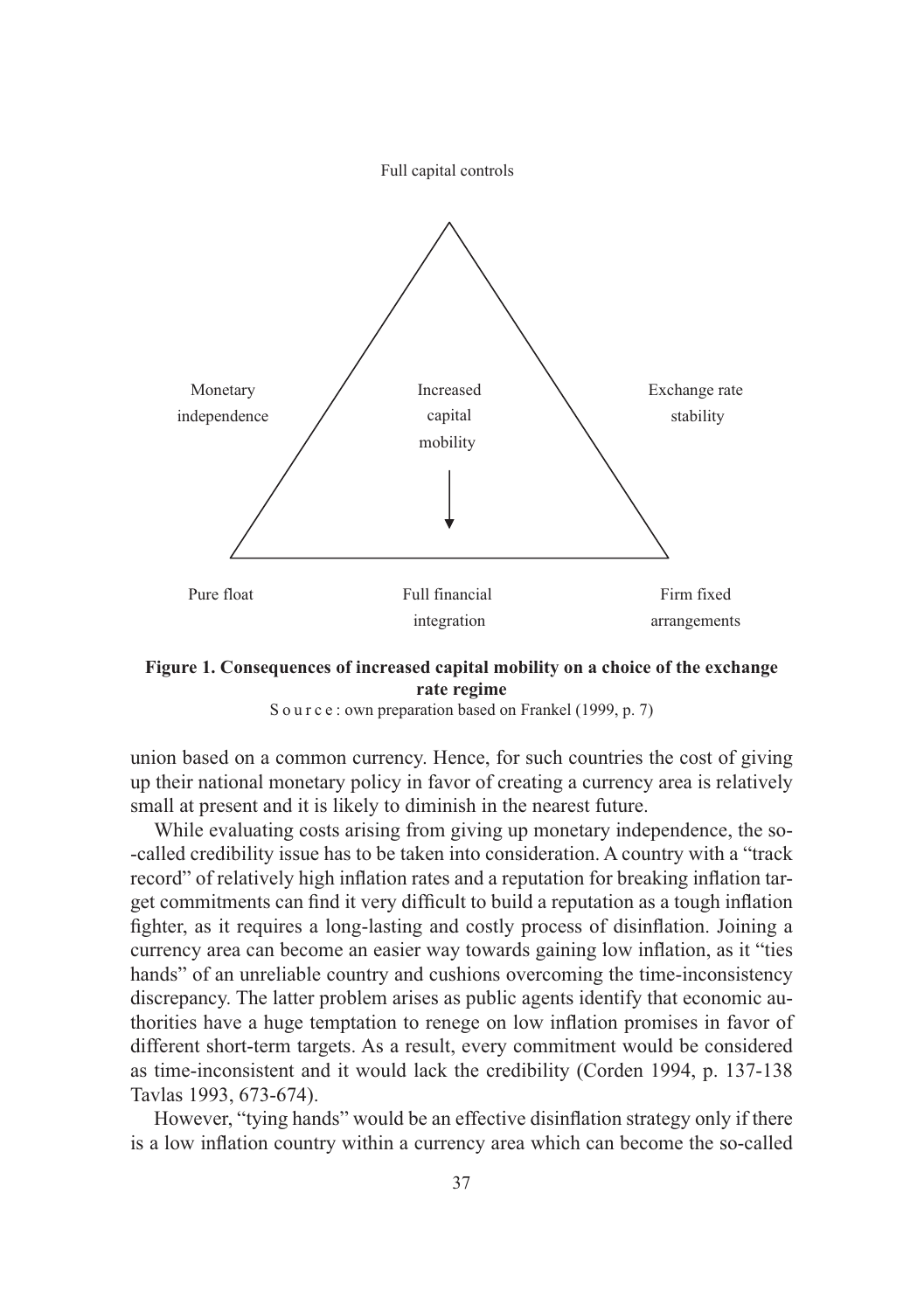

#### **Figure 1. Consequences of increased capital mobility on a choice of the exchange rate regime**



union based on a common currency. Hence, for such countries the cost of giving up their national monetary policy in favor of creating a currency area is relatively small at present and it is likely to diminish in the nearest future.

While evaluating costs arising from giving up monetary independence, the so- -called credibility issue has to be taken into consideration. A country with a "track record" of relatively high inflation rates and a reputation for breaking inflation target commitments can find it very difficult to build a reputation as a tough inflation fighter, as it requires a long-lasting and costly process of disinflation. Joining a currency area can become an easier way towards gaining low inflation, as it "ties hands" of an unreliable country and cushions overcoming the time-inconsistency discrepancy. The latter problem arises as public agents identify that economic authorities have a huge temptation to renege on low inflation promises in favor of different short-term targets. As a result, every commitment would be considered as time-inconsistent and it would lack the credibility (Corden 1994, p. 137-138 Tavlas 1993, 673-674).

However, "tying hands" would be an effective disinflation strategy only if there is a low inflation country within a currency area which can become the so-called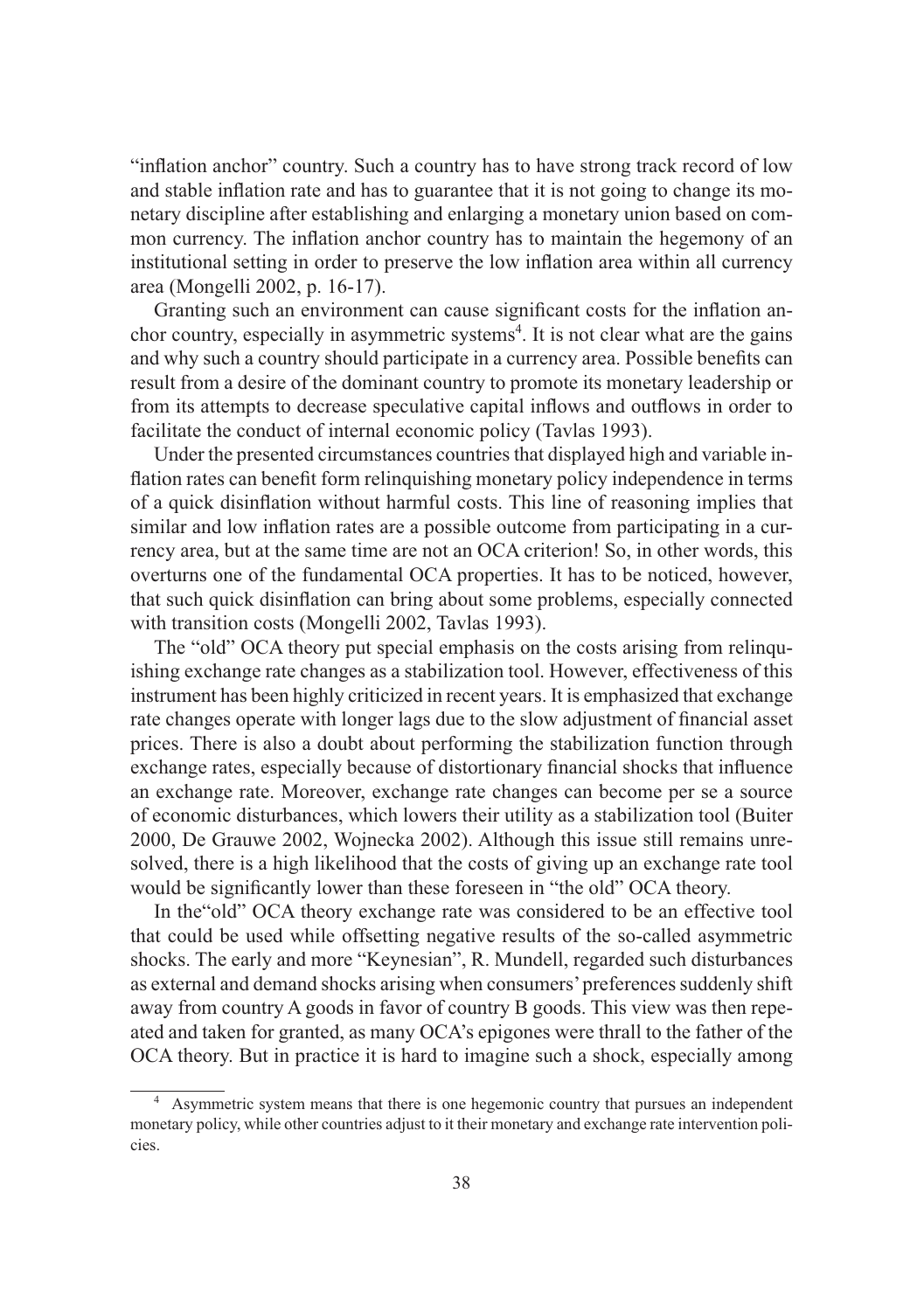"inflation anchor" country. Such a country has to have strong track record of low and stable inflation rate and has to guarantee that it is not going to change its monetary discipline after establishing and enlarging a monetary union based on common currency. The inflation anchor country has to maintain the hegemony of an institutional setting in order to preserve the low inflation area within all currency area (Mongelli 2002, p. 16-17).

Granting such an environment can cause significant costs for the inflation anchor country, especially in asymmetric systems<sup>4</sup>. It is not clear what are the gains and why such a country should participate in a currency area. Possible benefits can result from a desire of the dominant country to promote its monetary leadership or from its attempts to decrease speculative capital inflows and outflows in order to facilitate the conduct of internal economic policy (Tavlas 1993).

Under the presented circumstances countries that displayed high and variable inflation rates can benefit form relinquishing monetary policy independence in terms of a quick disinflation without harmful costs. This line of reasoning implies that similar and low inflation rates are a possible outcome from participating in a currency area, but at the same time are not an OCA criterion! So, in other words, this overturns one of the fundamental OCA properties. It has to be noticed, however, that such quick disinflation can bring about some problems, especially connected with transition costs (Mongelli 2002, Tavlas 1993).

The "old" OCA theory put special emphasis on the costs arising from relinquishing exchange rate changes as a stabilization tool. However, effectiveness of this instrument has been highly criticized in recent years. It is emphasized that exchange rate changes operate with longer lags due to the slow adjustment of financial asset prices. There is also a doubt about performing the stabilization function through exchange rates, especially because of distortionary financial shocks that influence an exchange rate. Moreover, exchange rate changes can become per se a source of economic disturbances, which lowers their utility as a stabilization tool (Buiter 2000, De Grauwe 2002, Wojnecka 2002). Although this issue still remains unresolved, there is a high likelihood that the costs of giving up an exchange rate tool would be significantly lower than these foreseen in "the old" OCA theory.

In the"old" OCA theory exchange rate was considered to be an effective tool that could be used while offsetting negative results of the so-called asymmetric shocks. The early and more "Keynesian", R. Mundell, regarded such disturbances as external and demand shocks arising when consumers' preferences suddenly shift away from country A goods in favor of country B goods. This view was then repeated and taken for granted, as many OCA's epigones were thrall to the father of the OCA theory. But in practice it is hard to imagine such a shock, especially among

<sup>4</sup> Asymmetric system means that there is one hegemonic country that pursues an independent monetary policy, while other countries adjust to it their monetary and exchange rate intervention policies.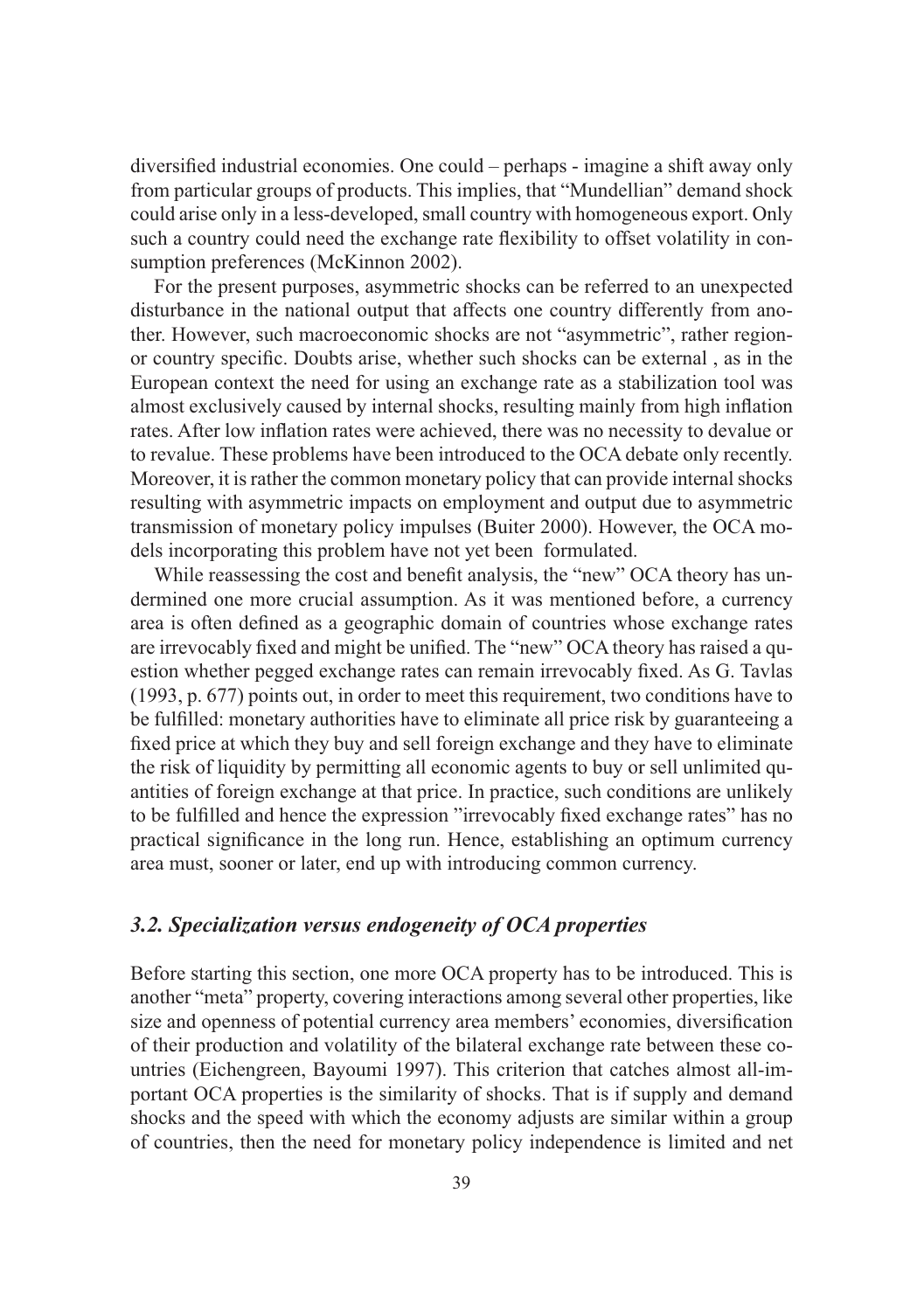diversified industrial economies. One could – perhaps - imagine a shift away only from particular groups of products. This implies, that "Mundellian" demand shock could arise only in a less-developed, small country with homogeneous export. Only such a country could need the exchange rate flexibility to offset volatility in consumption preferences (McKinnon 2002).

For the present purposes, asymmetric shocks can be referred to an unexpected disturbance in the national output that affects one country differently from another. However, such macroeconomic shocks are not "asymmetric", rather regionor country specific. Doubts arise, whether such shocks can be external , as in the European context the need for using an exchange rate as a stabilization tool was almost exclusively caused by internal shocks, resulting mainly from high inflation rates. After low inflation rates were achieved, there was no necessity to devalue or to revalue. These problems have been introduced to the OCA debate only recently. Moreover, it is rather the common monetary policy that can provide internal shocks resulting with asymmetric impacts on employment and output due to asymmetric transmission of monetary policy impulses (Buiter 2000). However, the OCA models incorporating this problem have not yet been formulated.

While reassessing the cost and benefit analysis, the "new" OCA theory has undermined one more crucial assumption. As it was mentioned before, a currency area is often defined as a geographic domain of countries whose exchange rates are irrevocably fixed and might be unified. The "new" OCA theory has raised a question whether pegged exchange rates can remain irrevocably fixed. As G. Tavlas (1993, p. 677) points out, in order to meet this requirement, two conditions have to be fulfilled: monetary authorities have to eliminate all price risk by guaranteeing a fixed price at which they buy and sell foreign exchange and they have to eliminate the risk of liquidity by permitting all economic agents to buy or sell unlimited quantities of foreign exchange at that price. In practice, such conditions are unlikely to be fulfilled and hence the expression "irrevocably fixed exchange rates" has no practical significance in the long run. Hence, establishing an optimum currency area must, sooner or later, end up with introducing common currency.

## *3.2. Specialization versus endogeneity of OCA properties*

Before starting this section, one more OCA property has to be introduced. This is another "meta" property, covering interactions among several other properties, like size and openness of potential currency area members' economies, diversification of their production and volatility of the bilateral exchange rate between these countries (Eichengreen, Bayoumi 1997). This criterion that catches almost all-important OCA properties is the similarity of shocks. That is if supply and demand shocks and the speed with which the economy adjusts are similar within a group of countries, then the need for monetary policy independence is limited and net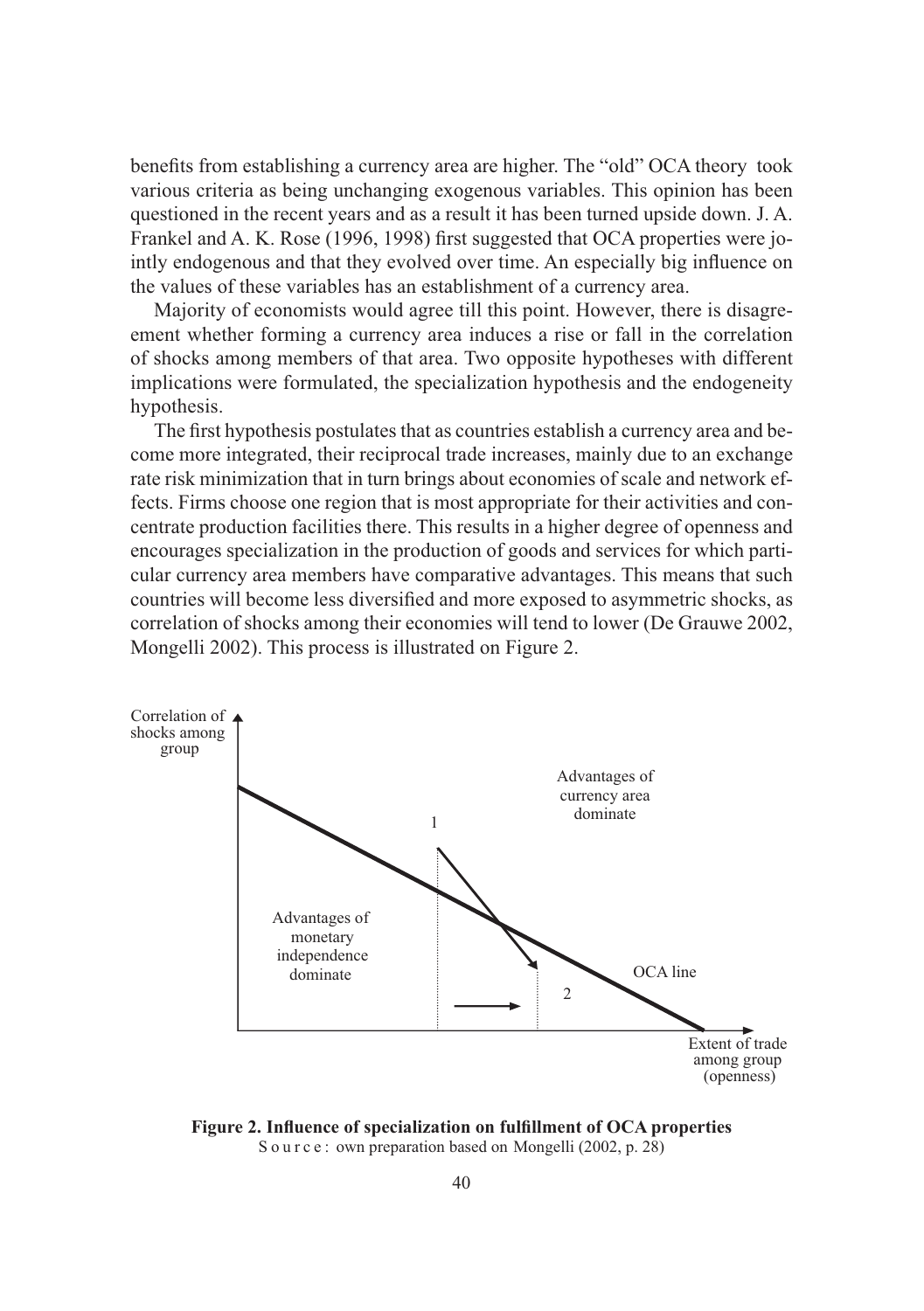benefits from establishing a currency area are higher. The "old" OCA theory took various criteria as being unchanging exogenous variables. This opinion has been questioned in the recent years and as a result it has been turned upside down. J. A. Frankel and A. K. Rose (1996, 1998) first suggested that OCA properties were jointly endogenous and that they evolved over time. An especially big influence on the values of these variables has an establishment of a currency area.

Majority of economists would agree till this point. However, there is disagreement whether forming a currency area induces a rise or fall in the correlation of shocks among members of that area. Two opposite hypotheses with different implications were formulated, the specialization hypothesis and the endogeneity hypothesis.

The first hypothesis postulates that as countries establish a currency area and become more integrated, their reciprocal trade increases, mainly due to an exchange rate risk minimization that in turn brings about economies of scale and network effects. Firms choose one region that is most appropriate for their activities and concentrate production facilities there. This results in a higher degree of openness and encourages specialization in the production of goods and services for which particular currency area members have comparative advantages. This means that such countries will become less diversified and more exposed to asymmetric shocks, as correlation of shocks among their economies will tend to lower (De Grauwe 2002, Mongelli 2002). This process is illustrated on Figure 2.



**Figure 2. Influence of specialization on fulfillment of OCA properties** Source: own preparation based on Mongelli (2002, p. 28)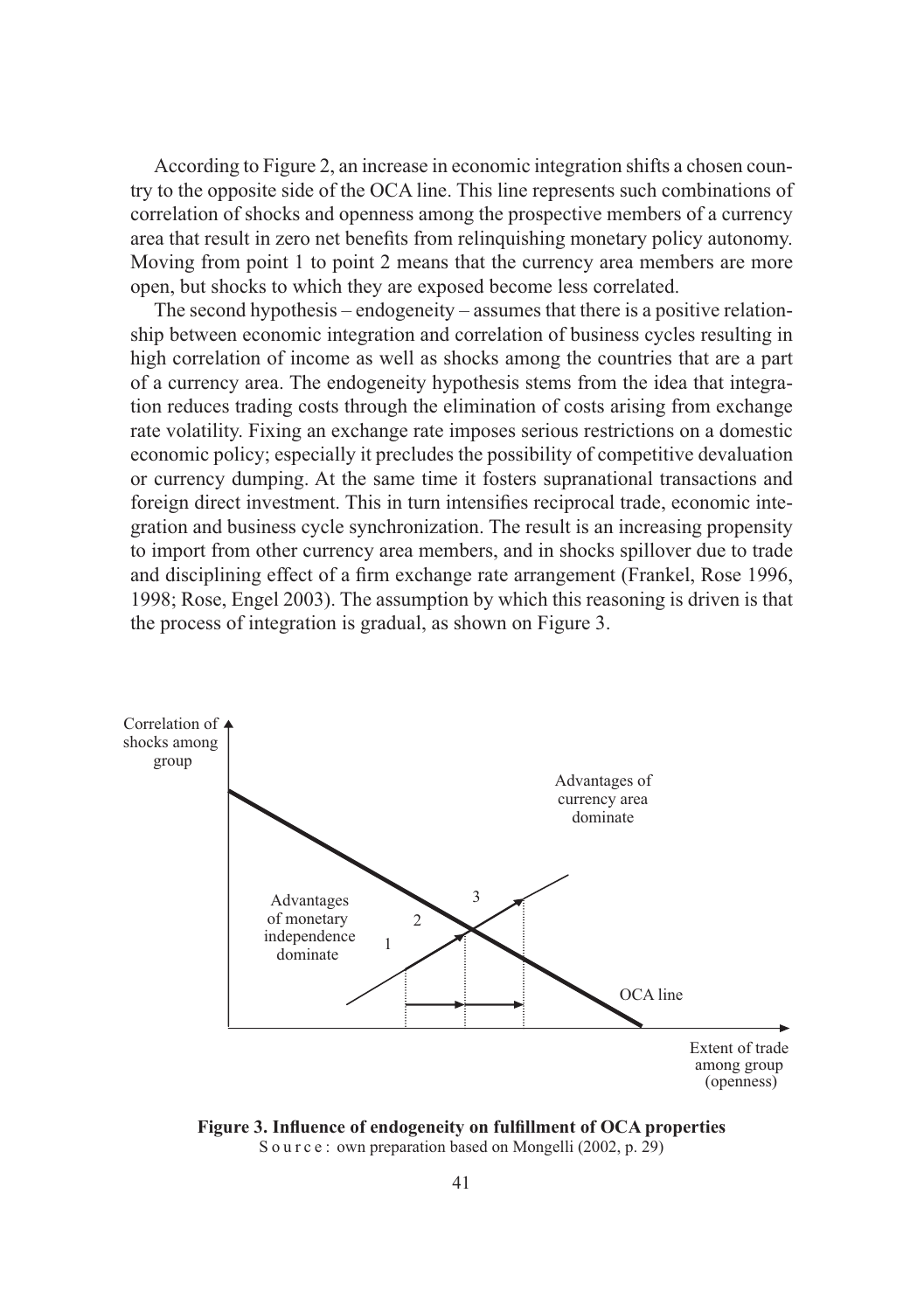According to Figure 2, an increase in economic integration shifts a chosen country to the opposite side of the OCA line. This line represents such combinations of correlation of shocks and openness among the prospective members of a currency area that result in zero net benefits from relinquishing monetary policy autonomy. Moving from point 1 to point 2 means that the currency area members are more open, but shocks to which they are exposed become less correlated.

The second hypothesis – endogeneity – assumes that there is a positive relationship between economic integration and correlation of business cycles resulting in high correlation of income as well as shocks among the countries that are a part of a currency area. The endogeneity hypothesis stems from the idea that integration reduces trading costs through the elimination of costs arising from exchange rate volatility. Fixing an exchange rate imposes serious restrictions on a domestic economic policy; especially it precludes the possibility of competitive devaluation or currency dumping. At the same time it fosters supranational transactions and foreign direct investment. This in turn intensifies reciprocal trade, economic integration and business cycle synchronization. The result is an increasing propensity to import from other currency area members, and in shocks spillover due to trade and disciplining effect of a firm exchange rate arrangement (Frankel, Rose 1996, 1998; Rose, Engel 2003). The assumption by which this reasoning is driven is that the process of integration is gradual, as shown on Figure 3.



**Figure 3. Influence of endogeneity on fulfillment of OCA properties**

S o u r c e : own preparation based on Mongelli (2002, p. 29)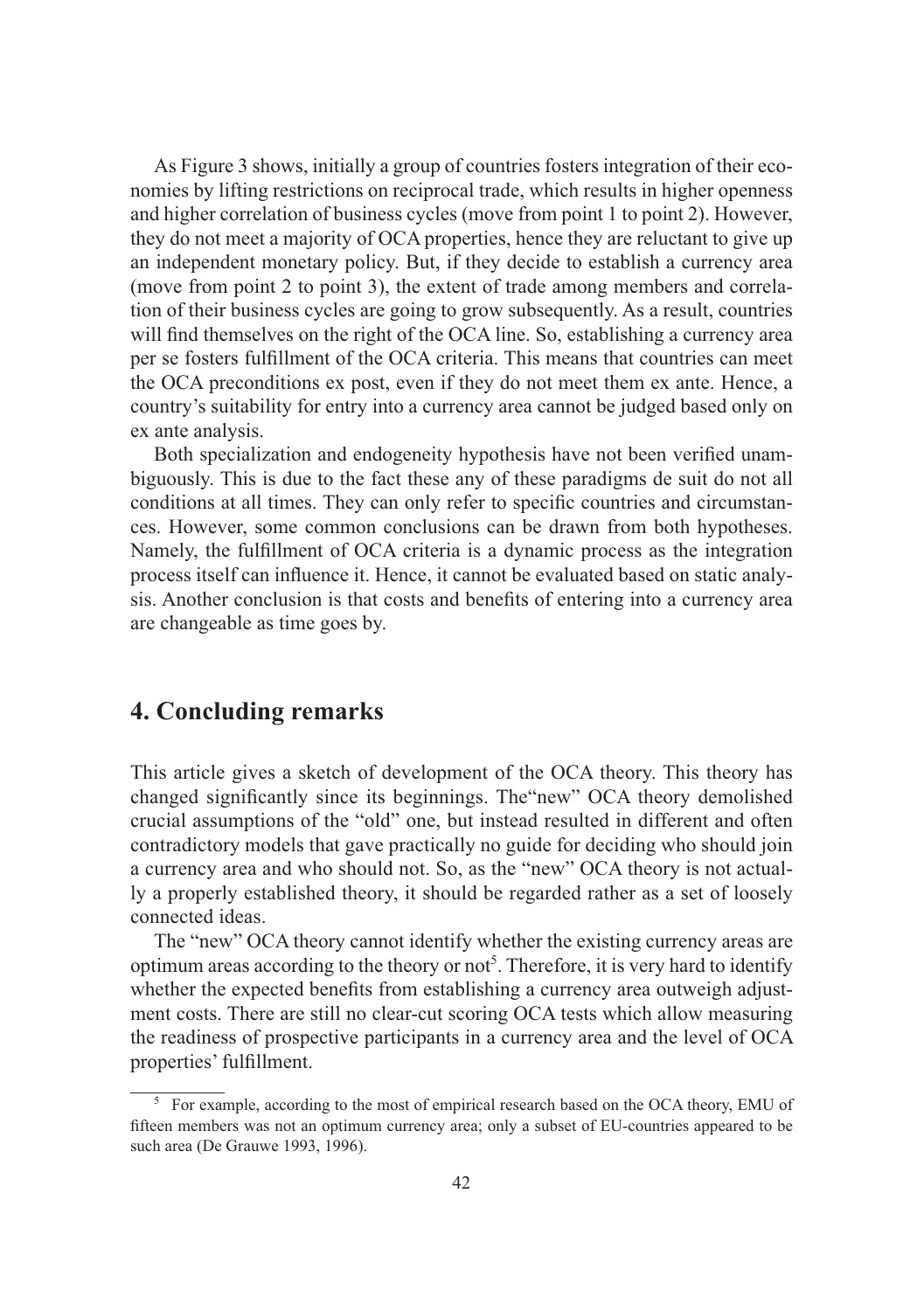As Figure 3 shows, initially a group of countries fosters integration of their economies by lifting restrictions on reciprocal trade, which results in higher openness and higher correlation of business cycles (move from point 1 to point 2). However, they do not meet a majority of OCA properties, hence they are reluctant to give up an independent monetary policy. But, if they decide to establish a currency area (move from point 2 to point 3), the extent of trade among members and correlation of their business cycles are going to grow subsequently. As a result, countries will find themselves on the right of the OCA line. So, establishing a currency area per se fosters fulfillment of the OCA criteria. This means that countries can meet the OCA preconditions ex post, even if they do not meet them ex ante. Hence, a country's suitability for entry into a currency area cannot be judged based only on ex ante analysis.

Both specialization and endogeneity hypothesis have not been verified unambiguously. This is due to the fact these any of these paradigms de suit do not all conditions at all times. They can only refer to specific countries and circumstances. However, some common conclusions can be drawn from both hypotheses. Namely, the fulfillment of OCA criteria is a dynamic process as the integration process itself can influence it. Hence, it cannot be evaluated based on static analysis. Another conclusion is that costs and benefits of entering into a currency area are changeable as time goes by.

## **4. Concluding remarks**

This article gives a sketch of development of the OCA theory. This theory has changed significantly since its beginnings. The"new" OCA theory demolished crucial assumptions of the "old" one, but instead resulted in different and often contradictory models that gave practically no guide for deciding who should join a currency area and who should not. So, as the "new" OCA theory is not actually a properly established theory, it should be regarded rather as a set of loosely connected ideas.

The "new" OCA theory cannot identify whether the existing currency areas are optimum areas according to the theory or not<sup>5</sup>. Therefore, it is very hard to identify whether the expected benefits from establishing a currency area outweigh adjustment costs. There are still no clear-cut scoring OCA tests which allow measuring the readiness of prospective participants in a currency area and the level of OCA properties' fulfillment.

<sup>&</sup>lt;sup>5</sup> For example, according to the most of empirical research based on the OCA theory, EMU of fifteen members was not an optimum currency area; only a subset of EU-countries appeared to be such area (De Grauwe 1993, 1996).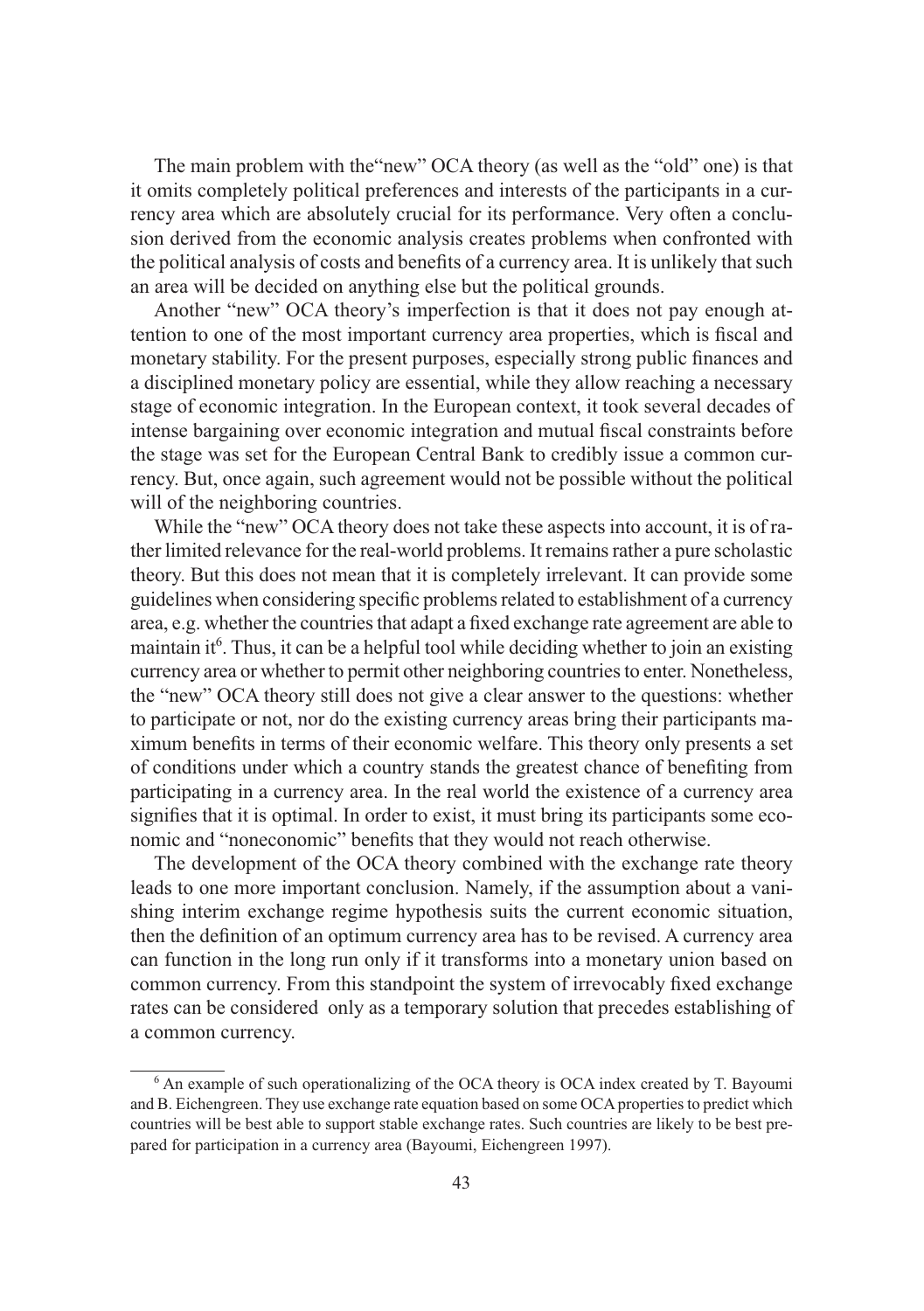The main problem with the"new" OCA theory (as well as the "old" one) is that it omits completely political preferences and interests of the participants in a currency area which are absolutely crucial for its performance. Very often a conclusion derived from the economic analysis creates problems when confronted with the political analysis of costs and benefits of a currency area. It is unlikely that such an area will be decided on anything else but the political grounds.

Another "new" OCA theory's imperfection is that it does not pay enough attention to one of the most important currency area properties, which is fiscal and monetary stability. For the present purposes, especially strong public finances and a disciplined monetary policy are essential, while they allow reaching a necessary stage of economic integration. In the European context, it took several decades of intense bargaining over economic integration and mutual fiscal constraints before the stage was set for the European Central Bank to credibly issue a common currency. But, once again, such agreement would not be possible without the political will of the neighboring countries.

While the "new" OCA theory does not take these aspects into account, it is of rather limited relevance for the real-world problems. It remains rather a pure scholastic theory. But this does not mean that it is completely irrelevant. It can provide some guidelines when considering specific problems related to establishment of a currency area, e.g. whether the countries that adapt a fixed exchange rate agreement are able to maintain it<sup>6</sup>. Thus, it can be a helpful tool while deciding whether to join an existing currency area or whether to permit other neighboring countries to enter. Nonetheless, the "new" OCA theory still does not give a clear answer to the questions: whether to participate or not, nor do the existing currency areas bring their participants maximum benefits in terms of their economic welfare. This theory only presents a set of conditions under which a country stands the greatest chance of benefiting from participating in a currency area. In the real world the existence of a currency area signifies that it is optimal. In order to exist, it must bring its participants some economic and "noneconomic" benefits that they would not reach otherwise.

The development of the OCA theory combined with the exchange rate theory leads to one more important conclusion. Namely, if the assumption about a vanishing interim exchange regime hypothesis suits the current economic situation, then the definition of an optimum currency area has to be revised. A currency area can function in the long run only if it transforms into a monetary union based on common currency. From this standpoint the system of irrevocably fixed exchange rates can be considered only as a temporary solution that precedes establishing of a common currency.

<sup>&</sup>lt;sup>6</sup> An example of such operationalizing of the OCA theory is OCA index created by T. Bayoumi and B. Eichengreen. They use exchange rate equation based on some OCA properties to predict which countries will be best able to support stable exchange rates. Such countries are likely to be best prepared for participation in a currency area (Bayoumi, Eichengreen 1997).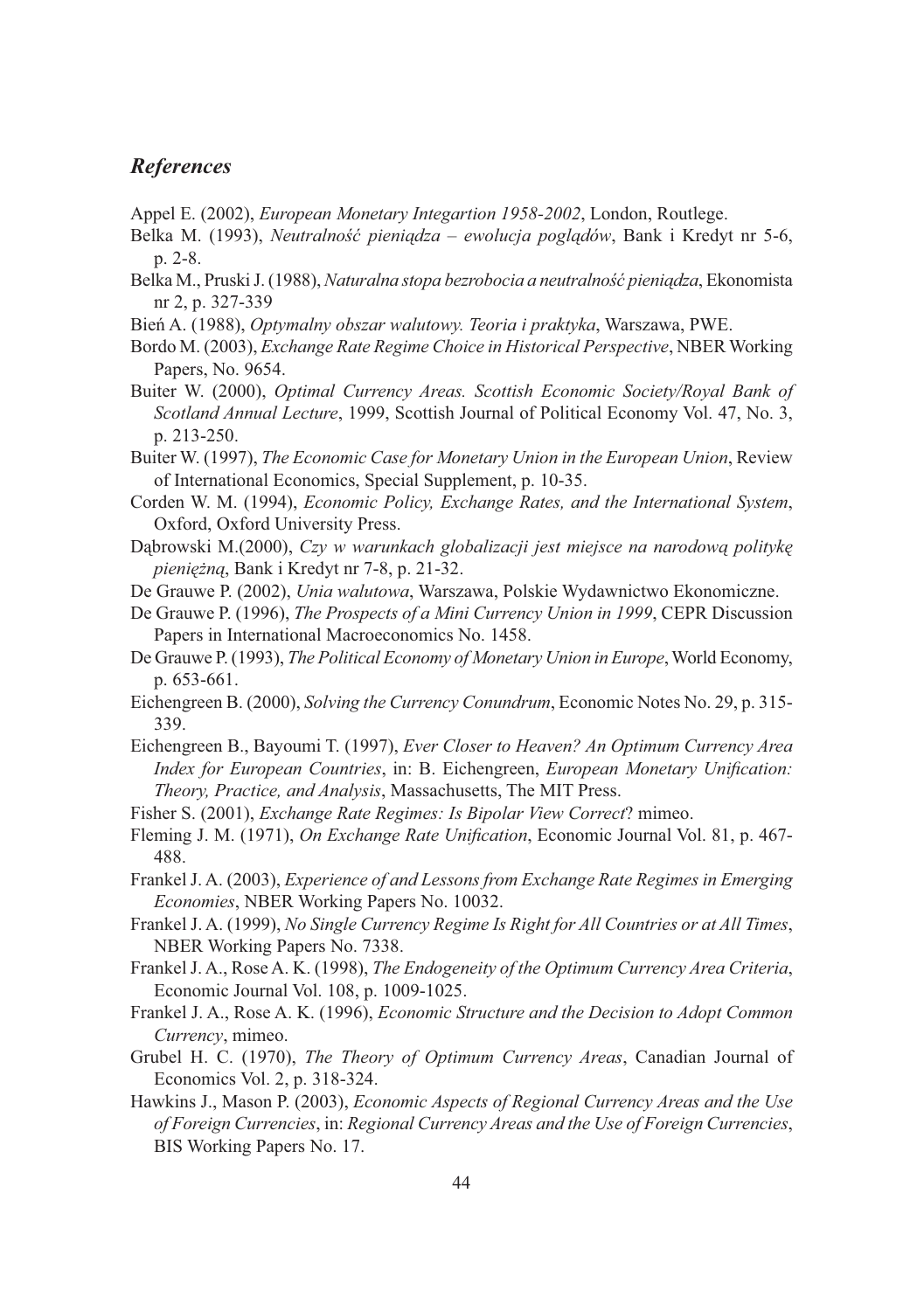#### *References*

- Appel E. (2002), *European Monetary Integartion 1958-2002*, London, Routlege.
- Belka M. (1993), *Neutralność pieniądza ewolucja poglądów*, Bank i Kredyt nr 5-6, p. 2-8.
- Belka M., Pruski J. (1988), *Naturalna stopa bezrobocia a neutralność pieniądza*, Ekonomista nr 2, p. 327-339
- Bień A. (1988), *Optymalny obszar walutowy. Teoria i praktyka*, Warszawa, PWE.
- Bordo M. (2003), *Exchange Rate Regime Choice in Historical Perspective*, NBER Working Papers, No. 9654.
- Buiter W. (2000), *Optimal Currency Areas. Scottish Economic Society/Royal Bank of Scotland Annual Lecture*, 1999, Scottish Journal of Political Economy Vol. 47, No. 3, p. 213-250.
- Buiter W. (1997), *The Economic Case for Monetary Union in the European Union*, Review of International Economics, Special Supplement, p. 10-35.
- Corden W. M. (1994), *Economic Policy, Exchange Rates, and the International System*, Oxford, Oxford University Press.
- Dąbrowski M.(2000), *Czy w warunkach globalizacji jest miejsce na narodową politykę pieniężną*, Bank i Kredyt nr 7-8, p. 21-32.
- De Grauwe P. (2002), *Unia walutowa*, Warszawa, Polskie Wydawnictwo Ekonomiczne.
- De Grauwe P. (1996), *The Prospects of a Mini Currency Union in 1999*, CEPR Discussion Papers in International Macroeconomics No. 1458.
- De Grauwe P. (1993), *The Political Economy of Monetary Union in Europe*, World Economy, p. 653-661.
- Eichengreen B. (2000), *Solving the Currency Conundrum*, Economic Notes No. 29, p. 315- 339.
- Eichengreen B., Bayoumi T. (1997), *Ever Closer to Heaven? An Optimum Currency Area Index for European Countries*, in: B. Eichengreen, *European Monetary Unification: Theory, Practice, and Analysis*, Massachusetts, The MIT Press.
- Fisher S. (2001), *Exchange Rate Regimes: Is Bipolar View Correct*? mimeo.
- Fleming J. M. (1971), *On Exchange Rate Unification*, Economic Journal Vol. 81, p. 467- 488.
- Frankel J. A. (2003), *Experience of and Lessons from Exchange Rate Regimes in Emerging Economies*, NBER Working Papers No. 10032.
- Frankel J. A. (1999), *No Single Currency Regime Is Right for All Countries or at All Times*, NBER Working Papers No. 7338.
- Frankel J. A., Rose A. K. (1998), *The Endogeneity of the Optimum Currency Area Criteria*, Economic Journal Vol. 108, p. 1009-1025.
- Frankel J. A., Rose A. K. (1996), *Economic Structure and the Decision to Adopt Common Currency*, mimeo.
- Grubel H. C. (1970), *The Theory of Optimum Currency Areas*, Canadian Journal of Economics Vol. 2, p. 318-324.
- Hawkins J., Mason P. (2003), *Economic Aspects of Regional Currency Areas and the Use of Foreign Currencies*, in: *Regional Currency Areas and the Use of Foreign Currencies*, BIS Working Papers No. 17.